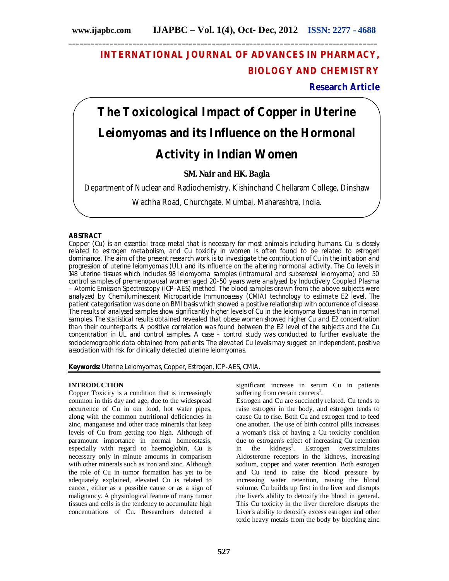# **INTERNATIONAL JOURNAL OF ADVANCES IN PHARMACY, BIOLOGY AND CHEMISTRY**

**Research Article**

# **The Toxicological Impact of Copper in Uterine Leiomyomas and its Influence on the Hormonal Activity in Indian Women**

**SM. Nair and HK. Bagla**

Department of Nuclear and Radiochemistry, Kishinchand Chellaram College, Dinshaw

Wachha Road, Churchgate, Mumbai, Maharashtra, India.

# **ABSTRACT**

Copper (Cu) is an essential trace metal that is necessary for most animals including humans. Cu is closely related to estrogen metabolism, and Cu toxicity in women is often found to be related to estrogen dominance. The aim of the present research work is to investigate the contribution of Cu in the initiation and progression of uterine leiomyomas (UL) and its influence on the altering hormonal activity. The Cu levels in 148 uterine tissues which includes 98 leiomyoma samples (intramural and subserosol leiomyoma) and 50 control samples of premenopausal women aged 20-50 years were analysed by Inductively Coupled Plasma – Atomic Emission Spectroscopy (ICP-AES) method. The blood samples drawn from the above subjects were analyzed by Chemiluminescent Microparticle Immunoassay (CMIA) technology to estimate E2 level. The patient categorisation was done on BMI basis which showed a positive relationship with occurrence of disease. The results of analysed samples show significantly higher levels of Cu in the leiomyoma tissues than in normal samples. The statistical results obtained revealed that obese women showed higher Cu and E2 concentration than their counterparts. A positive correlation was found between the E2 level of the subjects and the Cu concentration in UL and control samples**.** A case – control study was conducted to further evaluate the sociodemographic data obtained from patients. The elevated Cu levels may suggest an independent, positive association with risk for clinically detected uterine leiomyomas.

**Keywords:** Uterine Leiomyomas, Copper, Estrogen, ICP-AES, CMIA.

# **INTRODUCTION**

Copper Toxicity is a condition that is increasingly common in this day and age, due to the widespread occurrence of Cu in our food, hot water pipes, along with the common nutritional deficiencies in zinc, manganese and other trace minerals that keep levels of Cu from getting too high. Although of paramount importance in normal homeostasis, especially with regard to haemoglobin, Cu is necessary only in minute amounts in comparison with other minerals such as iron and zinc. Although the role of Cu in tumor formation has yet to be adequately explained, elevated Cu is related to cancer, either as a possible cause or as a sign of malignancy. A physiological feature of many tumor tissues and cells is the tendency to accumulate high concentrations of Cu. Researchers detected a

significant increase in serum Cu in patients suffering from certain cancers<sup>1</sup>.

Estrogen and Cu are succinctly related. Cu tends to raise estrogen in the body, and estrogen tends to cause Cu to rise. Both Cu and estrogen tend to feed one another. The use of birth control pills increases a woman's risk of having a Cu toxicity condition due to estrogen's effect of increasing Cu retention in the kidneys<sup>2</sup>. Estrogen overstimulates Aldosterone receptors in the kidneys, increasing sodium, copper and water retention. Both estrogen and Cu tend to raise the blood pressure by increasing water retention, raising the blood volume. Cu builds up first in the liver and disrupts the liver's ability to detoxify the blood in general. This Cu toxicity in the liver therefore disrupts the Liver's ability to detoxify excess estrogen and other toxic heavy metals from the body by blocking zinc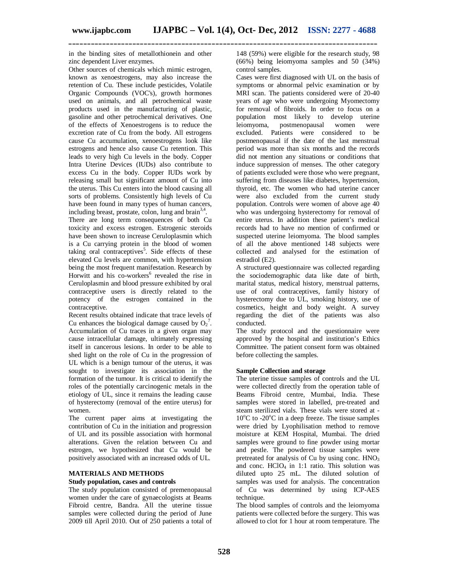in the binding sites of metallothionein and other zinc dependent Liver enzymes.

Other sources of chemicals which mimic estrogen, known as xenoestrogens, may also increase the retention of Cu. These include pesticides, Volatile Organic Compounds (VOC's), growth hormones used on animals, and all petrochemical waste products used in the manufacturing of plastic, gasoline and other petrochemical derivatives. One of the effects of Xenoestrogens is to reduce the excretion rate of Cu from the body. All estrogens cause Cu accumulation, xenoestrogens look like estrogens and hence also cause Cu retention. This leads to very high Cu levels in the body. Copper Intra Uterine Devices (IUDs) also contribute to excess Cu in the body. Copper IUDs work by releasing small but significant amount of Cu into the uterus. This Cu enters into the blood causing all sorts of problems. Consistently high levels of Cu have been found in many types of human cancers, including breast, prostate, colon, lung and brain $3,4$ .

There are long term consequences of both Cu toxicity and excess estrogen. Estrogenic steroids have been shown to increase Ceruloplasmin which is a Cu carrying protein in the blood of women taking oral contraceptives<sup>5</sup>. Side effects of these elevated Cu levels are common, with hypertension being the most frequent manifestation. Research by Horwitt and his co-workers<sup>6</sup> revealed the rise in Ceruloplasmin and blood pressure exhibited by oral contraceptive users is directly related to the potency of the estrogen contained in the contraceptive.

Recent results obtained indicate that trace levels of Cu enhances the biological damage caused by  $O_2^7$ . Accumulation of Cu traces in a given organ may cause intracellular damage, ultimately expressing itself in cancerous lesions. In order to be able to shed light on the role of Cu in the progression of UL which is a benign tumour of the uterus, it was sought to investigate its association in the formation of the tumour. It is critical to identify the roles of the potentially carcinogenic metals in the etiology of UL, since it remains the leading cause of hysterectomy (removal of the entire uterus) for women.

The current paper aims at investigating the contribution of Cu in the initiation and progression of UL and its possible association with hormonal alterations. Given the relation between Cu and estrogen, we hypothesized that Cu would be positively associated with an increased odds of UL.

# **MATERIALS AND METHODS**

### **Study population, cases and controls**

The study population consisted of premenopausal women under the care of gynaecologists at Beams Fibroid centre, Bandra. All the uterine tissue samples were collected during the period of June 2009 till April 2010. Out of 250 patients a total of 148 (59%) were eligible for the research study, 98 (66%) being leiomyoma samples and 50 (34%) control samples.

Cases were first diagnosed with UL on the basis of symptoms or abnormal pelvic examination or by MRI scan. The patients considered were of 20-40 years of age who were undergoing Myomectomy for removal of fibroids. In order to focus on a population most likely to develop uterine postmenopausal excluded. Patients were considered to be postmenopausal if the date of the last menstrual period was more than six months and the records did not mention any situations or conditions that induce suppression of menses. The other category of patients excluded were those who were pregnant, suffering from diseases like diabetes, hypertension, thyroid, etc. The women who had uterine cancer were also excluded from the current study population. Controls were women of above age 40 who was undergoing hysterectomy for removal of entire uterus. In addition these patient's medical records had to have no mention of confirmed or suspected uterine leiomyoma. The blood samples of all the above mentioned 148 subjects were collected and analysed for the estimation of estradiol (E2).

A structured questionnaire was collected regarding the sociodemographic data like date of birth, marital status, medical history, menstrual patterns, use of oral contraceptives, family history of hysterectomy due to UL, smoking history, use of cosmetics, height and body weight. A survey regarding the diet of the patients was also conducted.

The study protocol and the questionnaire were approved by the hospital and institution's Ethics Committee. The patient consent form was obtained before collecting the samples.

### **Sample Collection and storage**

The uterine tissue samples of controls and the UL were collected directly from the operation table of Beams Fibroid centre, Mumbai, India. These samples were stored in labelled, pre-treated and steam sterilized vials. These vials were stored at -  $10^{\circ}$ C to -20 $^{\circ}$ C in a deep freeze. The tissue samples were dried by Lyophilisation method to remove moisture at KEM Hospital, Mumbai. The dried samples were ground to fine powder using mortar and pestle. The powdered tissue samples were pretreated for analysis of Cu by using conc.  $HNO<sub>3</sub>$ and conc.  $HCIO<sub>4</sub>$  in 1:1 ratio. This solution was diluted upto 25 mL. The diluted solution of samples was used for analysis. The concentration of Cu was determined by using ICP-AES technique.

The blood samples of controls and the leiomyoma patients were collected before the surgery. This was allowed to clot for 1 hour at room temperature. The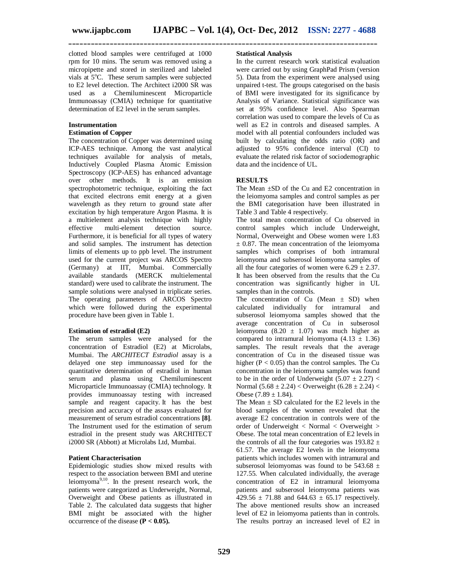clotted blood samples were centrifuged at 1000 rpm for 10 mins. The serum was removed using a micropipette and stored in sterilized and labeled vials at  $5^{\circ}$ C. These serum samples were subjected to E2 level detection. The Architect i2000 SR was used as a Chemiluminescent Microparticle Immunoassay (CMIA) technique for quantitative determination of E2 level in the serum samples.

#### **Instrumentation Estimation of Copper**

The concentration of Copper was determined using ICP-AES technique. Among the vast analytical techniques available for analysis of metals, Inductively Coupled Plasma Atomic Emission Spectroscopy (ICP-AES) has enhanced advantage over other methods. It is an emission spectrophotometric technique, exploiting the fact that excited electrons emit energy at a given wavelength as they return to ground state after excitation by high temperature Argon Plasma. It is a multielement analysis technique with highly effective multi-element detection source. Furthermore, it is beneficial for all types of watery and solid samples. The instrument has detection limits of elements up to ppb level. The instrument used for the current project was ARCOS Spectro (Germany) at IIT, Mumbai. Commercially available standards (MERCK multielemental standard) were used to calibrate the instrument. The sample solutions were analysed in triplicate series. The operating parameters of ARCOS Spectro which were followed during the experimental procedure have been given in Table 1.

# **Estimation of estradiol (E2)**

The serum samples were analysed for the concentration of Estradiol (E2) at Microlabs, Mumbai. The *ARCHITECT Estradiol* assay is a delayed one step immunoassay used for the quantitative determination of estradiol in human serum and plasma using Chemiluminescent Microparticle Immunoassay (CMIA) technology. It provides immunoassay testing with increased sample and reagent capacity. It has the best precision and accuracy of the assays evaluated for measurement of serum estradiol concentrations **[8]**. The Instrument used for the estimation of serum estradiol in the present study was ARCHITECT i2000 SR (Abbott) at Microlabs Ltd, Mumbai.

# **Patient Characterisation**

Epidemiologic studies show mixed results with respect to the association between BMI and uterine leiomyoma<sup>9,10</sup>. In the present research work, the patients were categorized as Underweight, Normal, Overweight and Obese patients as illustrated in Table 2. The calculated data suggests that higher BMI might be associated with the higher occurrence of the disease **(P < 0.05).** 

### **Statistical Analysis**

In the current research work statistical evaluation were carried out by using GraphPad Prism (version 5). Data from the experiment were analysed using unpaired t-test. The groups categorised on the basis of BMI were investigated for its significance by Analysis of Variance. Statistical significance was set at 95% confidence level. Also Spearman correlation was used to compare the levels of Cu as well as E2 in controls and diseased samples. A model with all potential confounders included was built by calculating the odds ratio (OR) and adjusted to 95% confidence interval (CI) to evaluate the related risk factor of sociodemographic data and the incidence of UL.

# **RESULTS**

The Mean ±SD of the Cu and E2 concentration in the leiomyoma samples and control samples as per the BMI categorisation have been illustrated in Table 3 and Table 4 respectively.

The total mean concentration of Cu observed in control samples which include Underweight, Normal, Overweight and Obese women were 1.83  $\pm$  0.87. The mean concentration of the leiomyoma samples which comprises of both intramural leiomyoma and subserosol leiomyoma samples of all the four categories of women were  $6.29 \pm 2.37$ . It has been observed from the results that the Cu concentration was significantly higher in UL samples than in the controls.

The concentration of Cu (Mean  $\pm$  SD) when calculated individually for intramural and subserosol leiomyoma samples showed that the average concentration of Cu in subserosol leiomyoma (8.20  $\pm$  1.07) was much higher as compared to intramural leiomyoma  $(4.13 \pm 1.36)$ samples. The result reveals that the average concentration of Cu in the diseased tissue was higher  $(P < 0.05)$  than the control samples. The Cu concentration in the leiomyoma samples was found to be in the order of Underweight  $(5.07 \pm 2.27)$  < Normal  $(5.68 \pm 2.24)$  < Overweight  $(6.28 \pm 2.24)$  < Obese  $(7.89 \pm 1.84)$ .

The Mean  $\pm$  SD calculated for the E2 levels in the blood samples of the women revealed that the average E2 concentration in controls were of the order of Underweight < Normal < Overweight > Obese. The total mean concentration of E2 levels in the controls of all the four categories was  $193.82 \pm$ 61.57. The average E2 levels in the leiomyoma patients which includes women with intramural and subserosol leiomyomas was found to be  $543.68 \pm$ 127.55. When calculated individually, the average concentration of E2 in intramural leiomyoma patients and subserosol leiomyoma patients was 429.56  $\pm$  71.88 and 644.63  $\pm$  65.17 respectively. The above mentioned results show an increased level of E2 in leiomyoma patients than in controls. The results portray an increased level of E2 in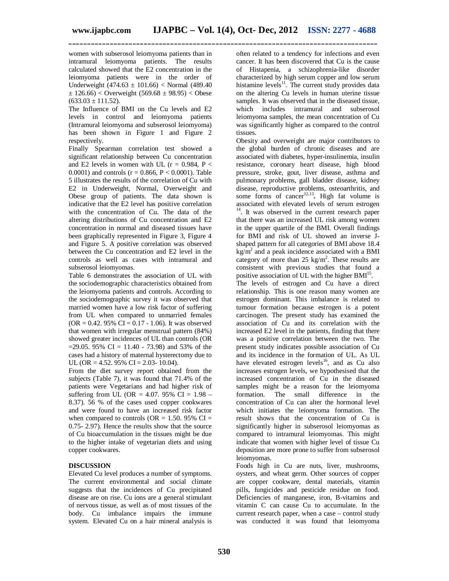women with subserosol leiomyoma patients than in intramural leiomyoma patients. The results calculated showed that the E2 concentration in the leiomyoma patients were in the order of Underweight  $(474.63 \pm 101.66)$  < Normal  $(489.40)$  $\pm$  126.66) < Overweight (569.68  $\pm$  98.95) < Obese  $(633.03 \pm 111.52)$ .

The Influence of BMI on the Cu levels and E2 levels in control and leiomyoma patients (Intramural leiomyoma and subserosol leiomyoma) has been shown in Figure 1 and Figure 2 respectively.

Finally Spearman correlation test showed a significant relationship between Cu concentration and E2 levels in women with UL ( $r = 0.984$ ,  $P <$ 0.0001) and controls ( $r = 0.866$ ,  $P < 0.0001$ ). Table 5 illustrates the results of the correlation of Cu with E2 in Underweight, Normal, Overweight and Obese group of patients. The data shown is indicative that the E2 level has positive correlation with the concentration of Cu. The data of the altering distributions of Cu concentration and E2 concentration in normal and diseased tissues have been graphically represented in Figure 3, Figure 4 and Figure 5. A positive correlation was observed between the Cu concentration and E2 level in the controls as well as cases with intramural and subserosol leiomyomas.

Table 6 demonstrates the association of UL with the sociodemographic characteristics obtained from the leiomyoma patients and controls. According to the sociodemographic survey it was observed that married women have a low risk factor of suffering from UL when compared to unmarried females  $(OR = 0.42.95\% \text{ CI} = 0.17 - 1.06)$ . It was observed that women with irregular menstrual pattern (84%) showed greater incidences of UL than controls (OR  $=$  29.05. 95% CI = 11.40 - 73.98) and 53% of the cases had a history of maternal hysterectomy due to UL (OR = 4.52.  $95\%$  CI = 2.03- 10.04).

From the diet survey report obtained from the subjects (Table 7), it was found that 71.4% of the patients were Vegetarians and had higher risk of suffering from UL (OR = 4.07. 95% CI =  $1.98 -$ 8.37). 56 % of the cases used copper cookwares and were found to have an increased risk factor when compared to controls ( $OR = 1.50$ . 95%  $CI =$ 0.75- 2.97). Hence the results show that the source of Cu bioaccumulation in the tissues might be due to the higher intake of vegetarian diets and using copper cookwares.

# **DISCUSSION**

Elevated Cu level produces a number of symptoms. The current environmental and social climate suggests that the incidences of Cu precipitated disease are on rise. Cu ions are a general stimulant of nervous tissue, as well as of most tissues of the body. Cu imbalance impairs the immune system. Elevated Cu on a hair mineral analysis is often related to a tendency for infections and even cancer. It has been discovered that Cu is the cause of Histapenia, a schizophrenia-like disorder characterized by high serum copper and low serum histamine levels<sup>11</sup>. The current study provides data on the altering Cu levels in human uterine tissue samples. It was observed that in the diseased tissue, which includes intramural and subserosol leiomyoma samples, the mean concentration of Cu was significantly higher as compared to the control tissues.

Obesity and overweight are major contributors to the global burden of chronic diseases and are associated with diabetes, hyper-insulinemia, insulin resistance, coronary heart disease, high blood pressure, stroke, gout, liver disease, asthma and pulmonary problems, gall bladder disease, kidney disease, reproductive problems, osteoarthritis, and some forms of cancer<sup>12,13</sup>. High fat volume is associated with elevated levels of serum estrogen  $14$ . It was observed in the current research paper that there was an increased UL risk among women in the upper quartile of the BMI. Overall findings for BMI and risk of UL showed an inverse Jshaped pattern for all categories of BMI above 18.4  $\text{kg/m}^2$  and a peak incidence associated with a BMI category of more than  $25 \text{ kg/m}^2$ . These results are consistent with previous studies that found a positive association of UL with the higher  $BMI<sup>15</sup>$ .

The levels of estrogen and Cu have a direct relationship. This is one reason many women are estrogen dominant. This imbalance is related to tumour formation because estrogen is a potent carcinogen. The present study has examined the association of Cu and its correlation with the increased E2 level in the patients, finding that there was a positive correlation between the two. The present study indicates possible association of Cu and its incidence in the formation of UL. As UL have elevated estrogen levels<sup>16</sup>, and as Cu also increases estrogen levels, we hypothesised that the increased concentration of Cu in the diseased samples might be a reason for the leiomyoma formation. The small difference in the concentration of Cu can alter the hormonal level which initiates the leiomyoma formation. The result shows that the concentration of Cu is significantly higher in subserosol leiomyomas as compared to intramural leiomyomas. This might indicate that women with higher level of tissue Cu deposition are more prone to suffer from subserosol leiomyomas.

Foods high in Cu are nuts, liver, mushrooms, oysters, and wheat germ. Other sources of copper are copper cookware, dental materials, vitamin pills, fungicides and pesticide residue on food. Deficiencies of manganese, iron, B-vitamins and vitamin C can cause Cu to accumulate. In the current research paper, when a case – control study was conducted it was found that leiomyoma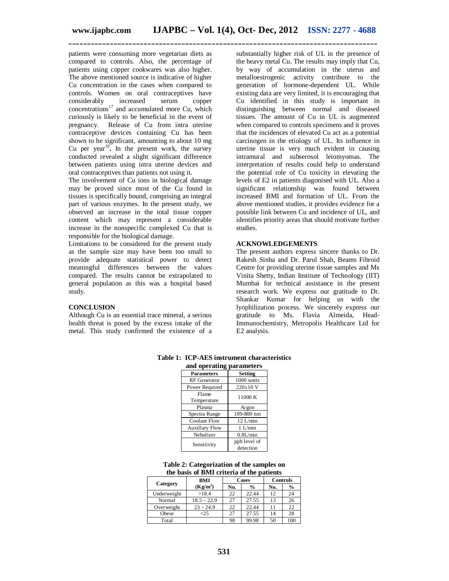patients were consuming more vegetarian diets as compared to controls. Also, the percentage of patients using copper cookwares was also higher. The above mentioned source is indicative of higher Cu concentration in the cases when compared to controls. Women on oral contraceptives have considerably increased serum copper concentrations<sup>17</sup> and accumulated more Cu, which curiously is likely to be beneficial in the event of pregnancy. Release of Cu from intra uterine contraceptive devices containing Cu has been shown to be significant, amounting to about 10 mg Cu per year<sup>18</sup>. In the present work, the survey conducted revealed a slight significant difference between patients using intra uterine devices and oral contraceptives than patients not using it.

The involvement of Cu ions in biological damage may be proved since most of the Cu found in tissues is specifically bound, comprising an integral part of various enzymes. In the present study, we observed an increase in the total tissue copper content which may represent a considerable increase in the nonspecific complexed Cu that is responsible for the biological damage.

Limitations to be considered for the present study as the sample size may have been too small to provide adequate statistical power to detect meaningful differences between the values compared. The results cannot be extrapolated to general population as this was a hospital based study.

### **CONCLUSION**

Although Cu is an essential trace mineral, a serious health threat is posed by the excess intake of the metal. This study confirmed the existence of a

substantially higher risk of UL in the presence of the heavy metal Cu. The results may imply that Cu, by way of accumulation in the uterus and metalloestrogenic activity contribute to the generation of hormone-dependent UL. While existing data are very limited, it is encouraging that Cu identified in this study is important in distinguishing between normal and diseased tissues. The amount of Cu in UL is augmented when compared to controls specimens and it proves that the incidences of elevated Cu act as a potential carcinogen in the etiology of UL. Its influence in uterine tissue is very much evident in causing intramural and subserosol leiomyomas. The interpretation of results could help to understand the potential role of Cu toxicity in elevating the levels of E2 in patients diagonised with UL. Also a significant relationship was found between increased BMI and formation of UL. From the above mentioned studies, it provides evidence for a possible link between Cu and incidence of UL, and identifies priority areas that should motivate further studies.

#### **ACKNOWLEDGEMENTS**

The present authors express sincere thanks to Dr. Rakesh Sinha and Dr. Parul Shah, Beams Fibroid Centre for providing uterine tissue samples and Ms Vinita Shetty, Indian Institute of Technology (IIT) Mumbai for technical assistance in the present research work. We express our gratitude to Dr. Shankar Kumar for helping us with the lyophilization process. We sincerely express our gratitude to Ms. Flavia Almeida, Head-Immunochemistry, Metropolis Healthcare Ltd for E2 analysis.

| and operating parameters |                           |  |  |  |  |  |  |  |
|--------------------------|---------------------------|--|--|--|--|--|--|--|
| <b>Parameters</b>        | <b>Setting</b>            |  |  |  |  |  |  |  |
| <b>RF</b> Generator      | 1000 watts                |  |  |  |  |  |  |  |
| Power Required           | $220\pm 10$ V             |  |  |  |  |  |  |  |
| Flame                    | 11000 K                   |  |  |  |  |  |  |  |
| Temperature              |                           |  |  |  |  |  |  |  |
| Plasma                   | Argon                     |  |  |  |  |  |  |  |
| Spectra Range            | 189-800 nm                |  |  |  |  |  |  |  |
| Coolant Flow             | $12$ L/min                |  |  |  |  |  |  |  |
| <b>Auxillary Flow</b>    | $1$ I /min                |  |  |  |  |  |  |  |
| Nebulizer                | 0.8L/min                  |  |  |  |  |  |  |  |
| Sensitivity              | ppb level of<br>detection |  |  |  |  |  |  |  |

**Table 1: ICP-AES instrument characteristics** 

#### **Table 2: Categorization of the samples on the basis of BMI criteria of the patients**

|             | BMI           |     | Cases         | <b>Controls</b> |               |  |
|-------------|---------------|-----|---------------|-----------------|---------------|--|
| Category    | $(Kg/m^2)$    | No. | $\frac{0}{0}$ | No.             | $\frac{0}{0}$ |  |
| Underweight | >18.4         | 22  | 22.44         | 12              | 24            |  |
| Normal      | $18.5 - 22.9$ | 27  | 27.55         | 13              | 26            |  |
| Overweight  | $23 - 24.9$   | 22  | 22.44         | 11              | 22            |  |
| Obese       | -25           | 27  | 27.55         | 14              | 28            |  |
| Total       |               | 98  | 99.98         | 50              | 100           |  |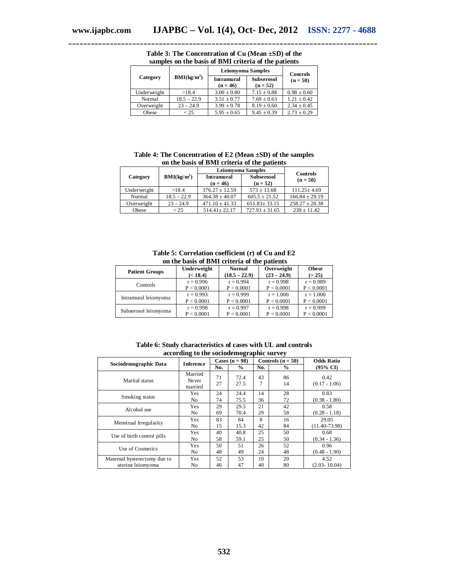|             |                         | <b>Leiomyoma Samples</b>        | Controls                        |                 |
|-------------|-------------------------|---------------------------------|---------------------------------|-----------------|
| Category    | BMI(kg/m <sup>2</sup> ) | <b>Intramural</b><br>$(n = 46)$ | <b>Subserosol</b><br>$(n = 52)$ | $(n = 50)$      |
| Underweight | >18.4                   | $3.00 \pm 0.80$                 | $7.15 \pm 0.88$                 | $0.98 \pm 0.60$ |
| Normal      | $18.5 - 22.9$           | $3.51 + 0.77$                   | $7.69 \pm 0.63$                 | $1.21 + 0.42$   |
| Overweight  | $23 - 24.9$             | $3.99 \pm 0.78$                 | $8.19 \pm 0.60$                 | $2.34 \pm 0.45$ |
| Obese       | < 25                    | $5.95 \pm 0.65$                 | $9.45 \pm 0.39$                 | $2.73 \pm 0.29$ |

**Table 3: The Concentration of Cu (Mean ±SD) of the samples on the basis of BMI criteria of the patients**

**Table 4: The Concentration of E2 (Mean ±SD) of the samples on the basis of BMI criteria of the patients**

|             |                         | <b>Leiomyoma Samples</b>        | <b>Controls</b>                 |                    |
|-------------|-------------------------|---------------------------------|---------------------------------|--------------------|
| Category    | BMI(kg/m <sup>2</sup> ) | <b>Intramural</b><br>$(n = 46)$ | <b>Subserosol</b><br>$(n = 52)$ | $(n = 50)$         |
| Underweight | >18.4                   | $376.27 + 12.59$                | $573 \pm 13.68$                 | $111.25 \pm 4.69$  |
| Normal      | $18.5 - 22.9$           | $364.38 \pm 40.07$              | $605.5 + 21.52$                 | $166.84 \pm 29.19$ |
| Overweight  | $23 - 24.9$             | $471.10 \pm 41.33$              | $651.83 \pm 33.15$              | $258.27 \pm 28.38$ |
| Obese       | < 25                    | $514.41 \pm 22.17$              | $727.93 \pm 31.65$              | $239 \pm 11.42$    |

**Table 5: Correlation coefficient (r) of Cu and E2 on the basis of BMI criteria of the patients**

| <b>Patient Groups</b> | Underweight | Normal          | Overweight    | <b>Obese</b> |
|-----------------------|-------------|-----------------|---------------|--------------|
|                       | (< 18.4)    | $(18.5 - 22.9)$ | $(23 - 24.9)$ | (> 25)       |
| Controls              | $r = 0.996$ | $r = 0.994$     | $r = 0.998$   | $r = 0.989$  |
|                       | P < 0.0001  | P < 0.0001      | P < 0.0001    | P < 0.0001   |
| Intramural leiomyoma  | $r = 0.993$ | $r = 0.999$     | $r = 1.000$   | $r = 1.000$  |
|                       | P < 0.0001  | P < 0.0001      | P < 0.0001    | P < 0.0001   |
| Subserosol leiomyoma  | $r = 0.998$ | $r = 0.997$     | $r = 0.998$   | $r = 0.999$  |
|                       | P < 0.0001  | P < 0.0001      | P < 0.0001    | P < 0.0001   |

| Table 6: Study characteristics of cases with UL and controls |  |  |  |                                          |  |  |  |
|--------------------------------------------------------------|--|--|--|------------------------------------------|--|--|--|
|                                                              |  |  |  | according to the sociodemographic survey |  |  |  |

|                              | -<br>-                      |                  |              |         |                     |                         |
|------------------------------|-----------------------------|------------------|--------------|---------|---------------------|-------------------------|
|                              | <b>Inference</b>            | Cases $(n = 98)$ |              |         | Controls $(n = 50)$ | <b>Odds Ratio</b>       |
| Sociodemographic Data        |                             | No.              | $\%$         | No.     | $\frac{0}{0}$       | $(95\% \text{ CI})$     |
| Marital status               | Married<br>Never<br>married | 71<br>27         | 72.4<br>27.5 | 43<br>7 | 86<br>14            | 0.42<br>$(0.17 - 1.06)$ |
| Smoking status               | Yes                         | 24               | 24.4         | 14      | 28                  | 0.83                    |
|                              | No.                         | 74               | 75.5         | 36      | 72                  | $(0.38 - 1.80)$         |
| Alcohol use                  | Yes                         | 29               | 29.5         | 21      | 42                  | 0.58                    |
|                              | No.                         | 69               | 70.4         | 29      | 58                  | $(0.28 - 1.18)$         |
| Menstrual Irregularity       | Yes                         | 83               | 84           | 8       | 16                  | 29.05                   |
|                              | No.                         | 15               | 15.3         | 42      | 84                  | $(11.40 - 73.98)$       |
| Use of birth control pills   | Yes                         | 40               | 40.8         | 25      | 50                  | 0.68                    |
|                              | No.                         | 58               | 59.1         | 25      | 50                  | $(0.34 - 1.36)$         |
| Use of Cosmetics             | Yes                         | 50               | 51           | 26      | 52                  | 0.96                    |
|                              | No                          | 48               | 49           | 24      | 48                  | $(0.48 - 1.90)$         |
| Maternal hysterectomy due to | Yes                         | 52               | 53           | 10      | 20                  | 4.52                    |
| uterine leiomyoma            | N <sub>o</sub>              | 46               | 47           | 40      | 80                  | $(2.03 - 10.04)$        |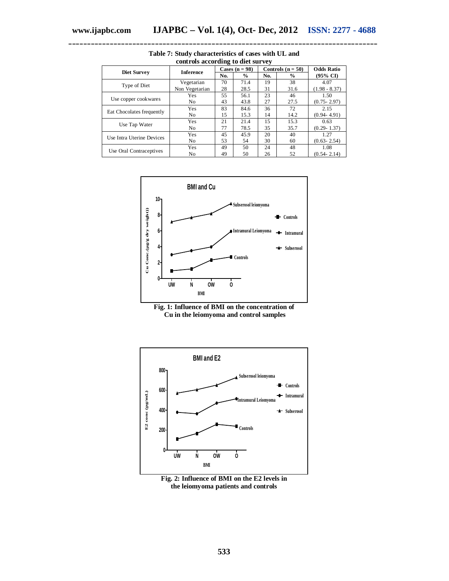|                           |                  | Cases $(n = 98)$ |               |     | Controls ( $n = 50$ ) | <b>Odds Ratio</b>   |
|---------------------------|------------------|------------------|---------------|-----|-----------------------|---------------------|
| Diet Survey               | <b>Inference</b> | No.              | $\frac{0}{0}$ | No. | $\frac{0}{0}$         | $(95\% \text{ CI})$ |
| Type of Diet              | Vegetarian       | 70               | 71.4          | 19  | 38                    | 4.07                |
|                           | Non Vegetarian   | 28               | 28.5          | 31  | 31.6                  | $(1.98 - 8.37)$     |
|                           | Yes              | 55               | 56.1          | 23  | 46                    | 1.50                |
| Use copper cookwares      | N <sub>o</sub>   | 43               | 43.8          | 27  | 27.5                  | $(0.75 - 2.97)$     |
| Eat Chocolates frequently | Yes              | 83               | 84.6          | 36  | 72                    | 2.15                |
|                           | N <sub>o</sub>   | 15               | 15.3          | 14  | 14.2                  | $(0.94 - 4.91)$     |
|                           | Yes              | 21               | 21.4          | 15  | 15.3                  | 0.63                |
| Use Tap Water             | N <sub>o</sub>   | 77               | 78.5          | 35  | 35.7                  | $(0.29 - 1.37)$     |
|                           | Yes              | 45               | 45.9          | 20  | 40                    | 1.27                |
| Use Intra Uterine Devices | No.              | 53               | 54            | 30  | 60                    | $(0.63 - 2.54)$     |
|                           | Yes              | 49               | 50            | 24  | 48                    | 1.08                |
| Use Oral Contraceptives   | N <sub>0</sub>   | 49               | 50            | 26  | 52                    | $(0.54 - 2.14)$     |

**Table 7: Study characteristics of cases with UL and controls according to diet survey**







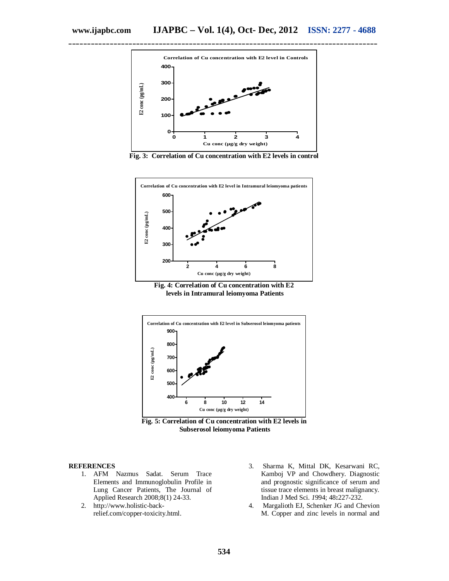

**Fig. 3: Correlation of Cu concentration with E2 levels in control**



**Fig. 4: Correlation of Cu concentration with E2 levels in Intramural leiomyoma Patients**





#### **REFERENCES**

- 1. AFM Nazmus Sadat. Serum Trace Elements and Immunoglobulin Profile in Lung Cancer Patients, The Journal of Applied Research 2008;8(1) 24-33.
- 2. http://www.holistic-backrelief.com/copper-toxicity.html.
- 3. Sharma K, Mittal DK, Kesarwani RC, Kamboj VP and Chowdhery. Diagnostic and prognostic significance of serum and tissue trace elements in breast malignancy. Indian J Med Sci. *1*994; 48**:**227-232.
- 4. Margalioth EJ, Schenker JG and Chevion M. Copper and zinc levels in normal and